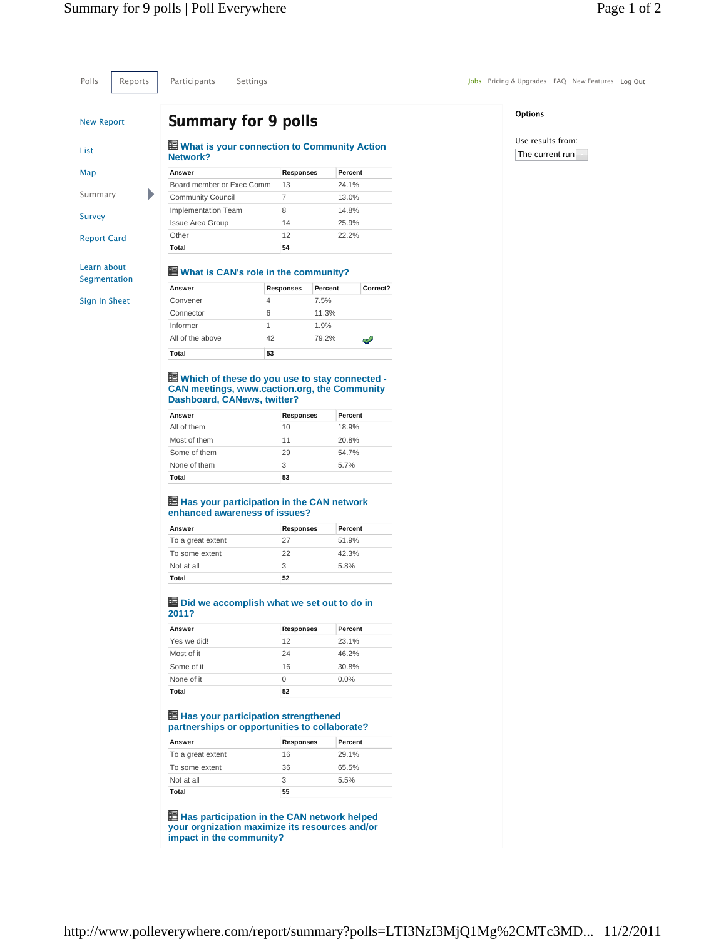Polls Reports Participants Settings **Settings** Jobs Pricing & Upgrades FAQ New Features Log Out

# New Report List

Map

Summary

b

Survey

Report Card

Learn about

Segmentation

Sign In Sheet

# **Summary for 9 polls**

#### **What is your connection to Community Action Network?**

| Answer                     | <b>Responses</b> | Percent |
|----------------------------|------------------|---------|
| Board member or Exec Comm  | 1.3              | 24.1%   |
| <b>Community Council</b>   |                  | 13.0%   |
| <b>Implementation Team</b> | 8                | 14.8%   |
| <b>Issue Area Group</b>    | 14               | 25.9%   |
| Other                      | 12               | 22.2%   |
| Total                      | 54               |         |

# **What is CAN's role in the community?**

| Answer           |                  | Percent | Correct? |
|------------------|------------------|---------|----------|
|                  | <b>Responses</b> |         |          |
| Convener         | 4                | 7.5%    |          |
| Connector        | 6                | 11.3%   |          |
| Informer         | 1                | 1.9%    |          |
| All of the above | 42               | 79.2%   |          |
| Total            | 53               |         |          |

#### **Which of these do you use to stay connected - CAN meetings, www.caction.org, the Community Dashboard, CANews, twitter?**

| Answer       | <b>Responses</b> | Percent |
|--------------|------------------|---------|
| All of them  | 10               | 18.9%   |
| Most of them | 11               | 20.8%   |
| Some of them | 29               | 54.7%   |
| None of them | 3                | 5.7%    |
| Total        | 53               |         |

## **Has your participation in the CAN network enhanced awareness of issues?**

| Answer            | <b>Responses</b> | Percent |
|-------------------|------------------|---------|
| To a great extent | 27               | 51.9%   |
| To some extent    | 22               | 42.3%   |
| Not at all        | З                | 5.8%    |
| Total             | 52               |         |

## **Did we accomplish what we set out to do in 2011?**

| Answer      | <b>Responses</b> | Percent |
|-------------|------------------|---------|
| Yes we did! | 12               | 23.1%   |
| Most of it  | 24               | 46.2%   |
| Some of it  | 16               | 30.8%   |
| None of it  | 0                | $0.0\%$ |
| Total       | 52               |         |

# **Has your participation strengthened partnerships or opportunities to collaborate?**

| Answer            | <b>Responses</b> | Percent |
|-------------------|------------------|---------|
| To a great extent | 16               | 29.1%   |
| To some extent    | 36               | 65.5%   |
| Not at all        | З                | 5.5%    |
| Total             | 55               |         |

**Has participation in the CAN network helped your orgnization maximize its resources and/or impact in the community?**

## **Options**

Use results from: The current run